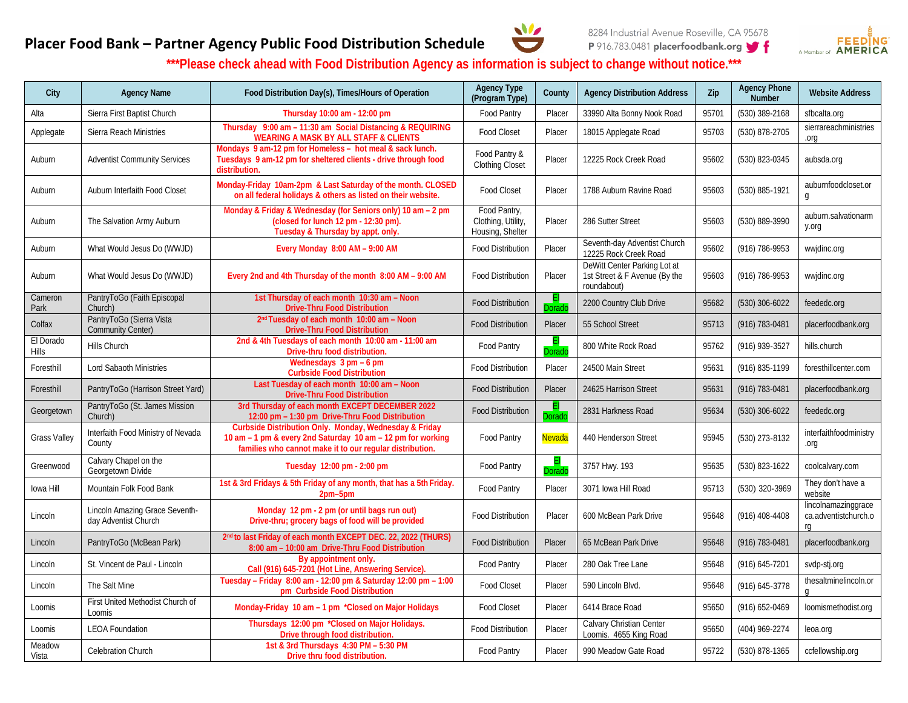



## **Placer Food Bank – Partner Agency Public Food Distribution Schedule**

**\*\*\*Please check ahead with Food Distribution Agency as information is subject to change without notice.\*\*\***

| City                      | <b>Agency Name</b>                                     | Food Distribution Day(s), Times/Hours of Operation                                                                                                                                | <b>Agency Type</b><br>(Program Type)                   | County        | <b>Agency Distribution Address</b>                                           | Zip   | <b>Agency Phone</b><br><b>Number</b> | <b>Website Address</b>                            |
|---------------------------|--------------------------------------------------------|-----------------------------------------------------------------------------------------------------------------------------------------------------------------------------------|--------------------------------------------------------|---------------|------------------------------------------------------------------------------|-------|--------------------------------------|---------------------------------------------------|
| Alta                      | Sierra First Baptist Church                            | Thursday 10:00 am - 12:00 pm                                                                                                                                                      | Food Pantry                                            | Placer        | 33990 Alta Bonny Nook Road                                                   | 95701 | (530) 389-2168                       | sfbcalta.org                                      |
| Applegate                 | Sierra Reach Ministries                                | Thursday 9:00 am - 11:30 am Social Distancing & REQUIRING<br><b>WEARING A MASK BY ALL STAFF &amp; CLIENTS</b>                                                                     | <b>Food Closet</b>                                     | Placer        | 18015 Applegate Road                                                         | 95703 | (530) 878-2705                       | sierrareachministries<br>.org                     |
| Auburn                    | <b>Adventist Community Services</b>                    | Mondays 9 am-12 pm for Homeless - hot meal & sack lunch.<br>Tuesdays 9 am-12 pm for sheltered clients - drive through food<br>distribution.                                       | Food Pantry &<br>Clothing Closet                       | Placer        | 12225 Rock Creek Road                                                        | 95602 | (530) 823-0345                       | aubsda.org                                        |
| Auburn                    | Auburn Interfaith Food Closet                          | Monday-Friday 10am-2pm & Last Saturday of the month. CLOSED<br>on all federal holidays & others as listed on their website.                                                       | Food Closet                                            | Placer        | 1788 Auburn Ravine Road                                                      | 95603 | (530) 885-1921                       | auburnfoodcloset.or<br>g                          |
| Auburn                    | The Salvation Army Auburn                              | Monday & Friday & Wednesday (for Seniors only) 10 am - 2 pm<br>(closed for lunch 12 pm - 12:30 pm).<br>Tuesday & Thursday by appt. only.                                          | Food Pantry,<br>Clothing, Utility,<br>Housing, Shelter | Placer        | 286 Sutter Street                                                            | 95603 | (530) 889-3990                       | auburn.salvationarm<br>y.org                      |
| Auburn                    | What Would Jesus Do (WWJD)                             | Every Monday 8:00 AM - 9:00 AM                                                                                                                                                    | Food Distribution                                      | Placer        | Seventh-day Adventist Church<br>12225 Rock Creek Road                        | 95602 | (916) 786-9953                       | wwjdinc.org                                       |
| Auburn                    | What Would Jesus Do (WWJD)                             | Every 2nd and 4th Thursday of the month 8:00 AM - 9:00 AM                                                                                                                         | <b>Food Distribution</b>                               | Placer        | DeWitt Center Parking Lot at<br>1st Street & F Avenue (By the<br>roundabout) | 95603 | (916) 786-9953                       | wwjdinc.org                                       |
| Cameron<br>Park           | PantryToGo (Faith Episcopal<br>Church)                 | 1st Thursday of each month 10:30 am - Noon<br><b>Drive-Thru Food Distribution</b>                                                                                                 | <b>Food Distribution</b>                               | )orad         | 2200 Country Club Drive                                                      | 95682 | $(530)$ 306-6022                     | feededc.org                                       |
| Colfax                    | PantryToGo (Sierra Vista<br><b>Community Center)</b>   | 2 <sup>nd</sup> Tuesday of each month 10:00 am - Noon<br><b>Drive-Thru Food Distribution</b>                                                                                      | <b>Food Distribution</b>                               | Placer        | 55 School Street                                                             | 95713 | (916) 783-0481                       | placerfoodbank.org                                |
| El Dorado<br><b>Hills</b> | Hills Church                                           | 2nd & 4th Tuesdays of each month 10:00 am - 11:00 am<br>Drive-thru food distribution.                                                                                             | Food Pantry                                            | orado         | 800 White Rock Road                                                          | 95762 | (916) 939-3527                       | hills.church                                      |
| Foresthill                | <b>Lord Sabaoth Ministries</b>                         | Wednesdays $3 \text{ pm} - 6 \text{ pm}$<br><b>Curbside Food Distribution</b>                                                                                                     | <b>Food Distribution</b>                               | Placer        | 24500 Main Street                                                            | 95631 | (916) 835-1199                       | foresthillcenter.com                              |
| Foresthill                | PantryToGo (Harrison Street Yard)                      | Last Tuesday of each month 10:00 am - Noon<br><b>Drive-Thru Food Distribution</b>                                                                                                 | <b>Food Distribution</b>                               | Placer        | 24625 Harrison Street                                                        | 95631 | (916) 783-0481                       | placerfoodbank.org                                |
| Georgetown                | PantryToGo (St. James Mission<br>Church)               | 3rd Thursday of each month EXCEPT DECEMBER 2022<br>12:00 pm - 1:30 pm Drive-Thru Food Distribution                                                                                | <b>Food Distribution</b>                               | orado         | 2831 Harkness Road                                                           | 95634 | $(530)$ 306-6022                     | feededc.org                                       |
| <b>Grass Valley</b>       | Interfaith Food Ministry of Nevada<br>County           | Curbside Distribution Only. Monday, Wednesday & Friday<br>10 am - 1 pm & every 2nd Saturday 10 am - 12 pm for working<br>families who cannot make it to our regular distribution. | Food Pantry                                            | <b>Nevada</b> | 440 Henderson Street                                                         | 95945 | (530) 273-8132                       | interfaithfoodministry<br>pio.                    |
| Greenwood                 | Calvary Chapel on the<br>Georgetown Divide             | Tuesday 12:00 pm - 2:00 pm                                                                                                                                                        | Food Pantry                                            | Dorac         | 3757 Hwy. 193                                                                | 95635 | (530) 823-1622                       | coolcalvary.com                                   |
| lowa Hill                 | Mountain Folk Food Bank                                | 1st & 3rd Fridays & 5th Friday of any month, that has a 5th Friday.<br>$2pm-5$ pm                                                                                                 | Food Pantry                                            | Placer        | 3071 Iowa Hill Road                                                          | 95713 | (530) 320-3969                       | They don't have a<br>website                      |
| Lincoln                   | Lincoln Amazing Grace Seventh-<br>day Adventist Church | Monday 12 pm - 2 pm (or until bags run out)<br>Drive-thru; grocery bags of food will be provided                                                                                  | <b>Food Distribution</b>                               | Placer        | 600 McBean Park Drive                                                        | 95648 | $(916)$ 408-4408                     | lincolnamazinggrace<br>ca.adventistchurch.o<br>rq |
| Lincoln                   | PantryToGo (McBean Park)                               | 2 <sup>nd</sup> to last Friday of each month EXCEPT DEC. 22, 2022 (THURS)<br>8:00 am - 10:00 am Drive-Thru Food Distribution                                                      | <b>Food Distribution</b>                               | Placer        | 65 McBean Park Drive                                                         | 95648 | (916) 783-0481                       | placerfoodbank.org                                |
| Lincoln                   | St. Vincent de Paul - Lincoln                          | By appointment only.<br>Call (916) 645-7201 (Hot Line, Answering Service).                                                                                                        | Food Pantry                                            | Placer        | 280 Oak Tree Lane                                                            | 95648 | (916) 645-7201                       | svdp-stj.org                                      |
| Lincoln                   | The Salt Mine                                          | Tuesday - Friday 8:00 am - 12:00 pm & Saturday 12:00 pm - 1:00<br>pm Curbside Food Distribution                                                                                   | <b>Food Closet</b>                                     | Placer        | 590 Lincoln Blvd.                                                            | 95648 | (916) 645-3778                       | thesaltminelincoln.or                             |
| Loomis                    | First United Methodist Church of<br>Loomis             | Monday-Friday 10 am - 1 pm *Closed on Major Holidays                                                                                                                              | <b>Food Closet</b>                                     | Placer        | 6414 Brace Road                                                              | 95650 | (916) 652-0469                       | loomismethodist.org                               |
| Loomis                    | <b>LEOA Foundation</b>                                 | Thursdays 12:00 pm *Closed on Major Holidays.<br>Drive through food distribution.                                                                                                 | <b>Food Distribution</b>                               | Placer        | Calvary Christian Center<br>Loomis. 4655 King Road                           | 95650 | (404) 969-2274                       | leoa.org                                          |
| Meadow<br>Vista           | Celebration Church                                     | 1st & 3rd Thursdays 4:30 PM - 5:30 PM<br>Drive thru food distribution.                                                                                                            | Food Pantry                                            | Placer        | 990 Meadow Gate Road                                                         | 95722 | (530) 878-1365                       | ccfellowship.org                                  |